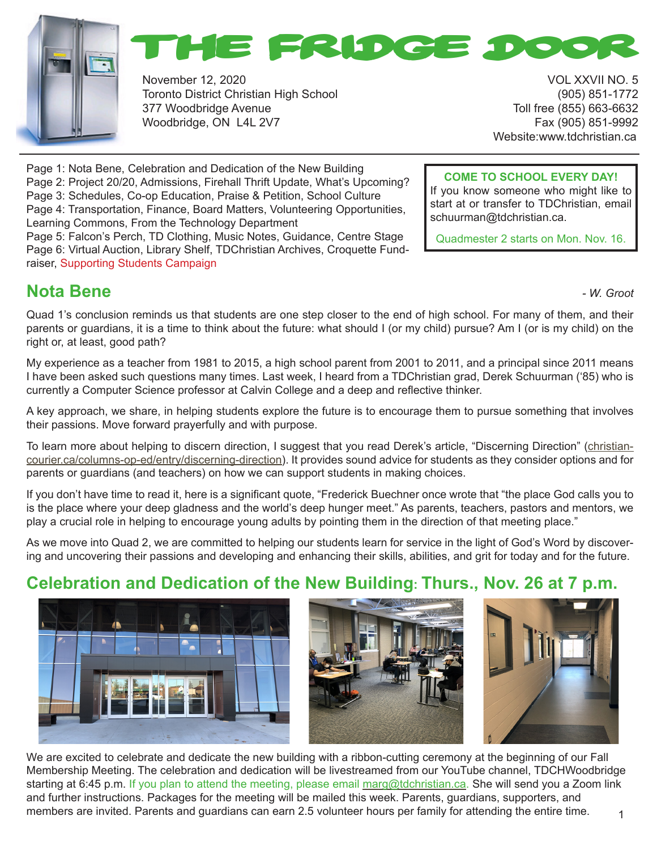



November 12, 2020 VOL XXVII NO. 5 Toronto District Christian High School (905) 851-1772 377 Woodbridge Avenue Toll free (855) 663-6632 Woodbridge, ON L4L 2V7 Fax (905) 851-9992

Website:www.tdchristian.ca

**COME TO SCHOOL EVERY DAY!** If you know someone who might like to start at or transfer to TDChristian, email

Quadmester 2 starts on Mon. Nov. 16.

schuurman@tdchristian.ca.

Page 1: Nota Bene, Celebration and Dedication of the New Building Page 2: Project 20/20, Admissions, Firehall Thrift Update, What's Upcoming? Page 3: Schedules, Co-op Education, Praise & Petition, School Culture Page 4: Transportation, Finance, Board Matters, Volunteering Opportunities, Learning Commons, From the Technology Department Page 5: Falcon's Perch, TD Clothing, Music Notes, Guidance, Centre Stage

Page 6: Virtual Auction, Library Shelf, TDChristian Archives, Croquette Fundraiser, Supporting Students Campaign

## **Nota Bene** *- W. Groot*

Quad 1's conclusion reminds us that students are one step closer to the end of high school. For many of them, and their parents or guardians, it is a time to think about the future: what should I (or my child) pursue? Am I (or is my child) on the right or, at least, good path?

My experience as a teacher from 1981 to 2015, a high school parent from 2001 to 2011, and a principal since 2011 means I have been asked such questions many times. Last week, I heard from a TDChristian grad, Derek Schuurman ('85) who is currently a Computer Science professor at Calvin College and a deep and reflective thinker.

A key approach, we share, in helping students explore the future is to encourage them to pursue something that involves their passions. Move forward prayerfully and with purpose.

To learn more about helping to discern direction, I suggest that you read Derek's article, "Discerning Direction" (christiancourier.ca/columns-op-ed/entry/discerning-direction). It provides sound advice for students as they consider options and for parents or guardians (and teachers) on how we can support students in making choices.

If you don't have time to read it, here is a significant quote, "Frederick Buechner once wrote that "the place God calls you to is the place where your deep gladness and the world's deep hunger meet." As parents, teachers, pastors and mentors, we play a crucial role in helping to encourage young adults by pointing them in the direction of that meeting place."

As we move into Quad 2, we are committed to helping our students learn for service in the light of God's Word by discovering and uncovering their passions and developing and enhancing their skills, abilities, and grit for today and for the future.

## **Celebration and Dedication of the New Building: Thurs., Nov. 26 at 7 p.m.**







1 We are excited to celebrate and dedicate the new building with a ribbon-cutting ceremony at the beginning of our Fall Membership Meeting. The celebration and dedication will be livestreamed from our YouTube channel, TDCHWoodbridge starting at 6:45 p.m. If you plan to attend the meeting, please email marg@tdchristian.ca. She will send you a Zoom link and further instructions. Packages for the meeting will be mailed this week. Parents, guardians, supporters, and members are invited. Parents and guardians can earn 2.5 volunteer hours per family for attending the entire time.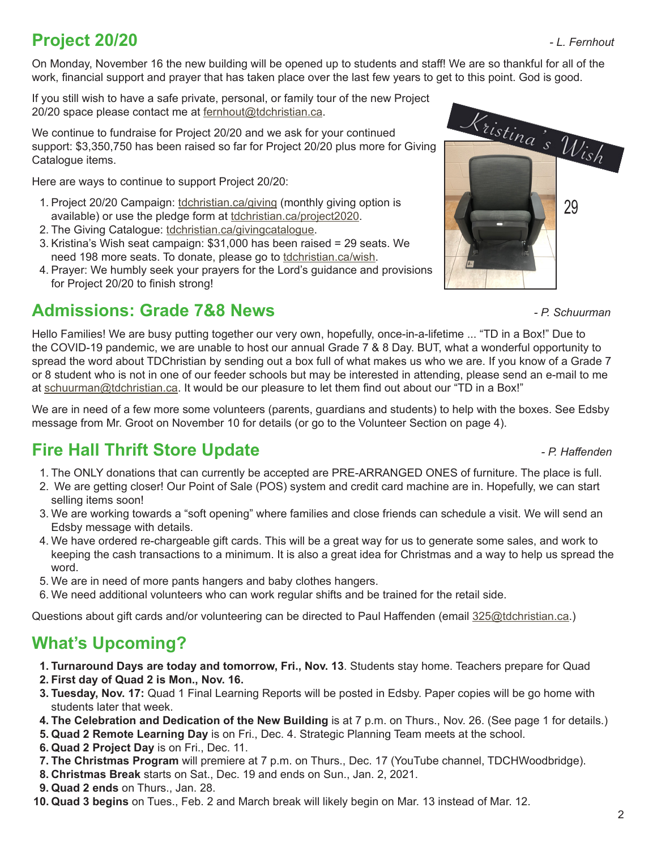# **Project 20/20** *- L. Fernhout*

On Monday, November 16 the new building will be opened up to students and staff! We are so thankful for all of the work, financial support and prayer that has taken place over the last few years to get to this point. God is good.

If you still wish to have a safe private, personal, or family tour of the new Project 20/20 space please contact me at fernhout@tdchristian.ca.

We continue to fundraise for Project 20/20 and we ask for your continued support: \$3,350,750 has been raised so far for Project 20/20 plus more for Giving Catalogue items.

Here are ways to continue to support Project 20/20:

- 1. Project 20/20 Campaign: tdchristian.ca/giving (monthly giving option is available) or use the pledge form at tdchristian.ca/project2020.
- 2. The Giving Catalogue: tdchristian.ca/givingcatalogue.
- 3. Kristina's Wish seat campaign: \$31,000 has been raised = 29 seats. We need 198 more seats. To donate, please go to tdchristian.ca/wish.
- 4. Prayer: We humbly seek your prayers for the Lord's guidance and provisions for Project 20/20 to finish strong!

## **Admissions: Grade 7&8 News** *- P. Schuurman*



Hello Families! We are busy putting together our very own, hopefully, once-in-a-lifetime ... "TD in a Box!" Due to the COVID-19 pandemic, we are unable to host our annual Grade 7 & 8 Day. BUT, what a wonderful opportunity to spread the word about TDChristian by sending out a box full of what makes us who we are. If you know of a Grade 7 or 8 student who is not in one of our feeder schools but may be interested in attending, please send an e-mail to me at schuurman@tdchristian.ca. It would be our pleasure to let them find out about our "TD in a Box!"

We are in need of a few more some volunteers (parents, guardians and students) to help with the boxes. See Edsby message from Mr. Groot on November 10 for details (or go to the Volunteer Section on page 4).

## **Fire Hall Thrift Store Update** *- P. Haffenden*

- 1. The ONLY donations that can currently be accepted are PRE-ARRANGED ONES of furniture. The place is full.
- 2. We are getting closer! Our Point of Sale (POS) system and credit card machine are in. Hopefully, we can start selling items soon!
- 3. We are working towards a "soft opening" where families and close friends can schedule a visit. We will send an Edsby message with details.
- 4. We have ordered re-chargeable gift cards. This will be a great way for us to generate some sales, and work to keeping the cash transactions to a minimum. It is also a great idea for Christmas and a way to help us spread the word.
- 5. We are in need of more pants hangers and baby clothes hangers.
- 6. We need additional volunteers who can work regular shifts and be trained for the retail side.

Questions about gift cards and/or volunteering can be directed to Paul Haffenden (email 325@tdchristian.ca.)

## **What's Upcoming?**

- **1. Turnaround Days are today and tomorrow, Fri., Nov. 13**. Students stay home. Teachers prepare for Quad
- **2. First day of Quad 2 is Mon., Nov. 16.**
- **3. Tuesday, Nov. 17:** Quad 1 Final Learning Reports will be posted in Edsby. Paper copies will be go home with students later that week.
- **4. The Celebration and Dedication of the New Building** is at 7 p.m. on Thurs., Nov. 26. (See page 1 for details.)
- **5. Quad 2 Remote Learning Day** is on Fri., Dec. 4. Strategic Planning Team meets at the school.
- **6. Quad 2 Project Day** is on Fri., Dec. 11.
- **7. The Christmas Program** will premiere at 7 p.m. on Thurs., Dec. 17 (YouTube channel, TDCHWoodbridge).
- **8. Christmas Break** starts on Sat., Dec. 19 and ends on Sun., Jan. 2, 2021.
- **9. Quad 2 ends** on Thurs., Jan. 28.
- **10. Quad 3 begins** on Tues., Feb. 2 and March break will likely begin on Mar. 13 instead of Mar. 12.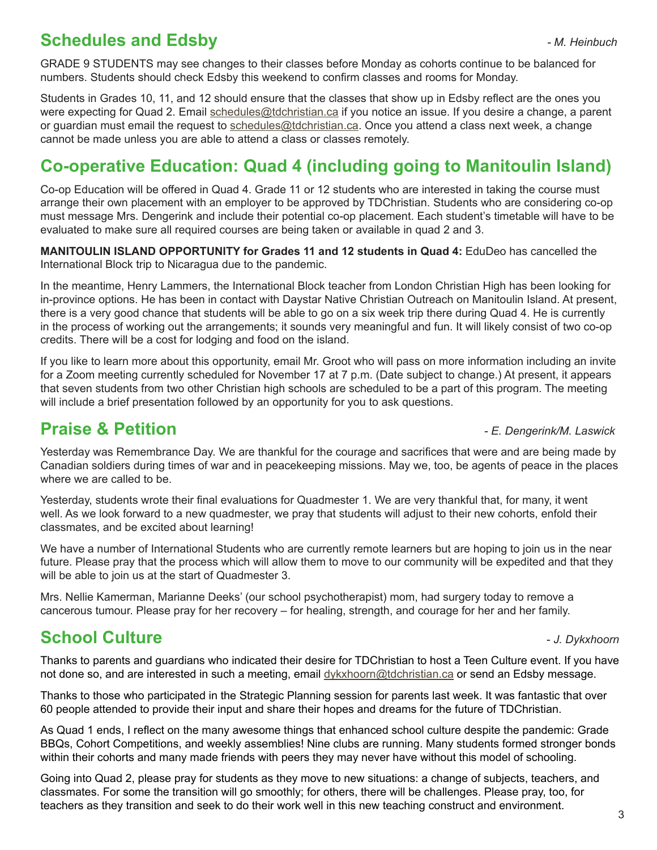GRADE 9 STUDENTS may see changes to their classes before Monday as cohorts continue to be balanced for numbers. Students should check Edsby this weekend to confirm classes and rooms for Monday.

Students in Grades 10, 11, and 12 should ensure that the classes that show up in Edsby reflect are the ones you were expecting for Quad 2. Email schedules@tdchristian.ca if you notice an issue. If you desire a change, a parent or guardian must email the request to schedules@tdchristian.ca. Once you attend a class next week, a change cannot be made unless you are able to attend a class or classes remotely.

### **Co-operative Education: Quad 4 (including going to Manitoulin Island)**

Co-op Education will be offered in Quad 4. Grade 11 or 12 students who are interested in taking the course must arrange their own placement with an employer to be approved by TDChristian. Students who are considering co-op must message Mrs. Dengerink and include their potential co-op placement. Each student's timetable will have to be evaluated to make sure all required courses are being taken or available in quad 2 and 3.

**MANITOULIN ISLAND OPPORTUNITY for Grades 11 and 12 students in Quad 4:** EduDeo has cancelled the International Block trip to Nicaragua due to the pandemic.

In the meantime, Henry Lammers, the International Block teacher from London Christian High has been looking for in-province options. He has been in contact with Daystar Native Christian Outreach on Manitoulin Island. At present, there is a very good chance that students will be able to go on a six week trip there during Quad 4. He is currently in the process of working out the arrangements; it sounds very meaningful and fun. It will likely consist of two co-op credits. There will be a cost for lodging and food on the island.

If you like to learn more about this opportunity, email Mr. Groot who will pass on more information including an invite for a Zoom meeting currently scheduled for November 17 at 7 p.m. (Date subject to change.) At present, it appears that seven students from two other Christian high schools are scheduled to be a part of this program. The meeting will include a brief presentation followed by an opportunity for you to ask questions.

#### **Praise & Petition** *- E. Dengerink/M. Laswick*

Yesterday was Remembrance Day. We are thankful for the courage and sacrifices that were and are being made by Canadian soldiers during times of war and in peacekeeping missions. May we, too, be agents of peace in the places where we are called to be.

Yesterday, students wrote their final evaluations for Quadmester 1. We are very thankful that, for many, it went well. As we look forward to a new quadmester, we pray that students will adjust to their new cohorts, enfold their classmates, and be excited about learning!

We have a number of International Students who are currently remote learners but are hoping to join us in the near future. Please pray that the process which will allow them to move to our community will be expedited and that they will be able to join us at the start of Quadmester 3.

Mrs. Nellie Kamerman, Marianne Deeks' (our school psychotherapist) mom, had surgery today to remove a cancerous tumour. Please pray for her recovery – for healing, strength, and courage for her and her family.

### **School Culture -** *J. Dykxhoorn***</del>**

Thanks to parents and guardians who indicated their desire for TDChristian to host a Teen Culture event. If you have not done so, and are interested in such a meeting, email dykxhoorn@tdchristian.ca or send an Edsby message.

Thanks to those who participated in the Strategic Planning session for parents last week. It was fantastic that over 60 people attended to provide their input and share their hopes and dreams for the future of TDChristian.

As Quad 1 ends, I reflect on the many awesome things that enhanced school culture despite the pandemic: Grade BBQs, Cohort Competitions, and weekly assemblies! Nine clubs are running. Many students formed stronger bonds within their cohorts and many made friends with peers they may never have without this model of schooling.

Going into Quad 2, please pray for students as they move to new situations: a change of subjects, teachers, and classmates. For some the transition will go smoothly; for others, there will be challenges. Please pray, too, for teachers as they transition and seek to do their work well in this new teaching construct and environment.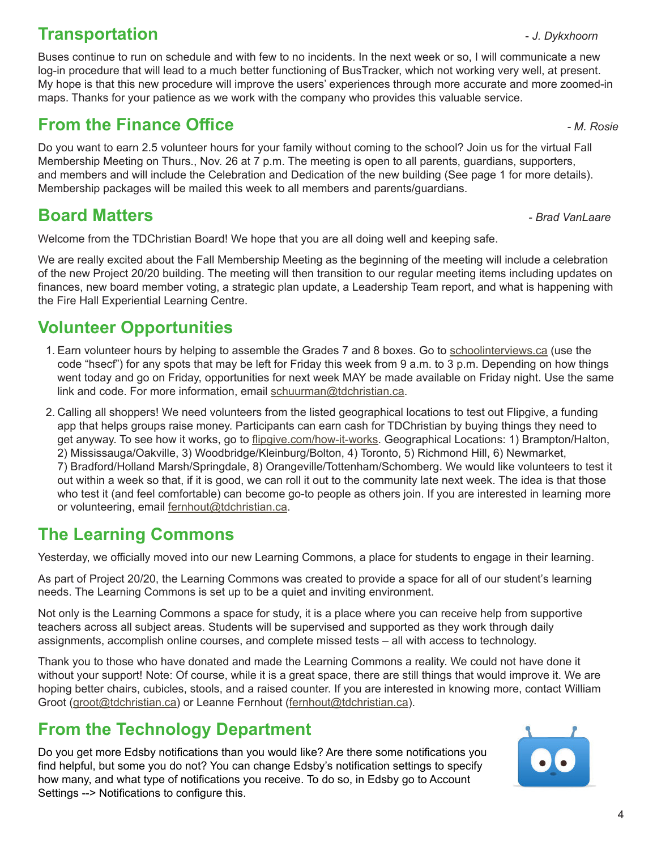## **Transportation 1989** - *J. Dykxhoorn*

Buses continue to run on schedule and with few to no incidents. In the next week or so, I will communicate a new log-in procedure that will lead to a much better functioning of BusTracker, which not working very well, at present. My hope is that this new procedure will improve the users' experiences through more accurate and more zoomed-in maps. Thanks for your patience as we work with the company who provides this valuable service.

## **From the Finance Office** *COMPONER <b>FINALLY COMPONER FINALLY <i>M. Rosie*

Do you want to earn 2.5 volunteer hours for your family without coming to the school? Join us for the virtual Fall Membership Meeting on Thurs., Nov. 26 at 7 p.m. The meeting is open to all parents, guardians, supporters, and members and will include the Celebration and Dedication of the new building (See page 1 for more details). Membership packages will be mailed this week to all members and parents/guardians.

# **Board Matters** *- Brad VanLaare*

Welcome from the TDChristian Board! We hope that you are all doing well and keeping safe.

We are really excited about the Fall Membership Meeting as the beginning of the meeting will include a celebration of the new Project 20/20 building. The meeting will then transition to our regular meeting items including updates on finances, new board member voting, a strategic plan update, a Leadership Team report, and what is happening with the Fire Hall Experiential Learning Centre.

### **Volunteer Opportunities**

- 1. Earn volunteer hours by helping to assemble the Grades 7 and 8 boxes. Go to schoolinterviews.ca (use the code "hsecf") for any spots that may be left for Friday this week from 9 a.m. to 3 p.m. Depending on how things went today and go on Friday, opportunities for next week MAY be made available on Friday night. Use the same link and code. For more information, email schuurman@tdchristian.ca.
- 2. Calling all shoppers! We need volunteers from the listed geographical locations to test out Flipgive, a funding app that helps groups raise money. Participants can earn cash for TDChristian by buying things they need to get anyway. To see how it works, go to flipgive.com/how-it-works. Geographical Locations: 1) Brampton/Halton, 2) Mississauga/Oakville, 3) Woodbridge/Kleinburg/Bolton, 4) Toronto, 5) Richmond Hill, 6) Newmarket, 7) Bradford/Holland Marsh/Springdale, 8) Orangeville/Tottenham/Schomberg. We would like volunteers to test it out within a week so that, if it is good, we can roll it out to the community late next week. The idea is that those who test it (and feel comfortable) can become go-to people as others join. If you are interested in learning more or volunteering, email fernhout@tdchristian.ca.

### **The Learning Commons**

Yesterday, we officially moved into our new Learning Commons, a place for students to engage in their learning.

As part of Project 20/20, the Learning Commons was created to provide a space for all of our student's learning needs. The Learning Commons is set up to be a quiet and inviting environment.

Not only is the Learning Commons a space for study, it is a place where you can receive help from supportive teachers across all subject areas. Students will be supervised and supported as they work through daily assignments, accomplish online courses, and complete missed tests – all with access to technology.

Thank you to those who have donated and made the Learning Commons a reality. We could not have done it without your support! Note: Of course, while it is a great space, there are still things that would improve it. We are hoping better chairs, cubicles, stools, and a raised counter. If you are interested in knowing more, contact William Groot (groot@tdchristian.ca) or Leanne Fernhout (fernhout@tdchristian.ca).

## **From the Technology Department**

Do you get more Edsby notifications than you would like? Are there some notifications you find helpful, but some you do not? You can change Edsby's notification settings to specify how many, and what type of notifications you receive. To do so, in Edsby go to Account Settings --> Notifications to configure this.



 $\overline{\Delta}$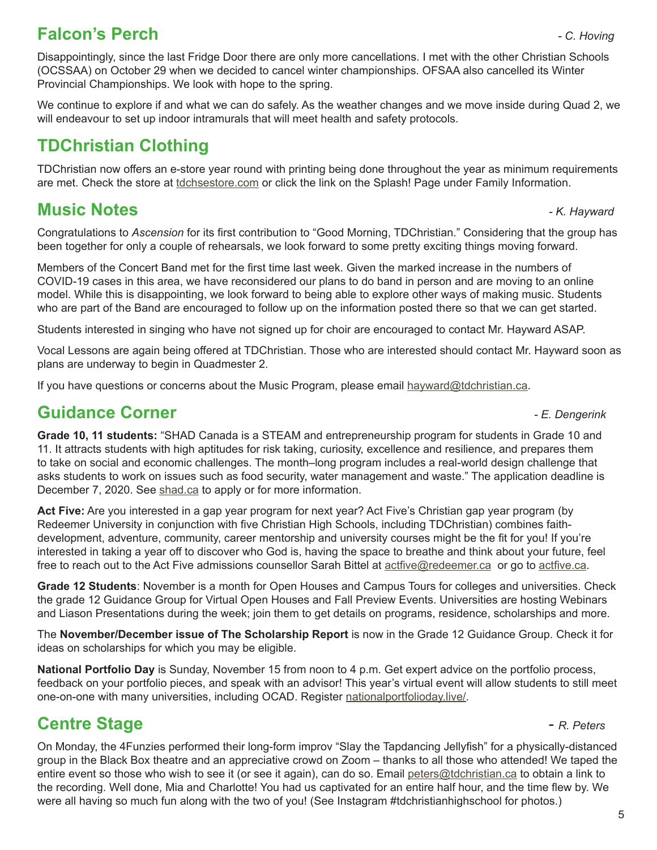#### **Falcon's Perch** *- C. Hoving*

Disappointingly, since the last Fridge Door there are only more cancellations. I met with the other Christian Schools (OCSSAA) on October 29 when we decided to cancel winter championships. OFSAA also cancelled its Winter Provincial Championships. We look with hope to the spring.

We continue to explore if and what we can do safely. As the weather changes and we move inside during Quad 2, we will endeavour to set up indoor intramurals that will meet health and safety protocols.

## **TDChristian Clothing**

TDChristian now offers an e-store year round with printing being done throughout the year as minimum requirements are met. Check the store at tdchsestore.com or click the link on the Splash! Page under Family Information.

#### **Music Notes** *- K. Hayward*

Congratulations to *Ascension* for its first contribution to "Good Morning, TDChristian." Considering that the group has been together for only a couple of rehearsals, we look forward to some pretty exciting things moving forward.

Members of the Concert Band met for the first time last week. Given the marked increase in the numbers of COVID-19 cases in this area, we have reconsidered our plans to do band in person and are moving to an online model. While this is disappointing, we look forward to being able to explore other ways of making music. Students who are part of the Band are encouraged to follow up on the information posted there so that we can get started.

Students interested in singing who have not signed up for choir are encouraged to contact Mr. Hayward ASAP.

Vocal Lessons are again being offered at TDChristian. Those who are interested should contact Mr. Hayward soon as plans are underway to begin in Quadmester 2.

If you have questions or concerns about the Music Program, please email hayward@tdchristian.ca.

### **Guidance Corner** *- E. Dengerink*

**Grade 10, 11 students:** "SHAD Canada is a STEAM and entrepreneurship program for students in Grade 10 and 11. It attracts students with high aptitudes for risk taking, curiosity, excellence and resilience, and prepares them to take on social and economic challenges. The month–long program includes a real-world design challenge that asks students to work on issues such as food security, water management and waste." The application deadline is December 7, 2020. See shad.ca to apply or for more information.

**Act Five:** Are you interested in a gap year program for next year? Act Five's Christian gap year program (by Redeemer University in conjunction with five Christian High Schools, including TDChristian) combines faithdevelopment, adventure, community, career mentorship and university courses might be the fit for you! If you're interested in taking a year off to discover who God is, having the space to breathe and think about your future, feel free to reach out to the Act Five admissions counsellor Sarah Bittel at actfive@redeemer.ca or go to actfive.ca.

**Grade 12 Students**: November is a month for Open Houses and Campus Tours for colleges and universities. Check the grade 12 Guidance Group for Virtual Open Houses and Fall Preview Events. Universities are hosting Webinars and Liason Presentations during the week; join them to get details on programs, residence, scholarships and more.

The **November/December issue of The Scholarship Report** is now in the Grade 12 Guidance Group. Check it for ideas on scholarships for which you may be eligible.

**National Portfolio Day** is Sunday, November 15 from noon to 4 p.m. Get expert advice on the portfolio process, feedback on your portfolio pieces, and speak with an advisor! This year's virtual event will allow students to still meet one-on-one with many universities, including OCAD. Register nationalportfolioday.live/.

# **Centre Stage** *- R. Peters*

On Monday, the 4Funzies performed their long-form improv "Slay the Tapdancing Jellyfish" for a physically-distanced group in the Black Box theatre and an appreciative crowd on Zoom – thanks to all those who attended! We taped the entire event so those who wish to see it (or see it again), can do so. Email peters@tdchristian.ca to obtain a link to the recording. Well done, Mia and Charlotte! You had us captivated for an entire half hour, and the time flew by. We were all having so much fun along with the two of you! (See Instagram #tdchristianhighschool for photos.)